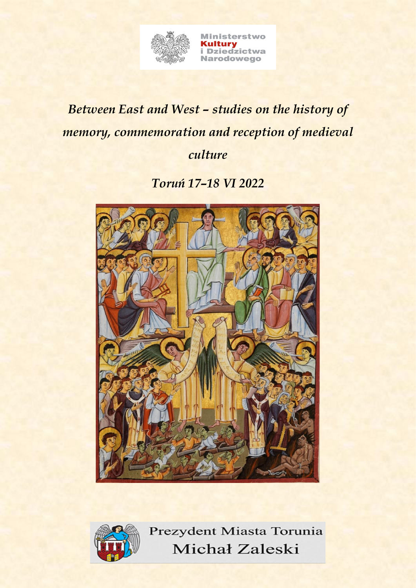

## *Between East and West – studies on the history of memory, commemoration and reception of medieval culture*

*Toruń 17–18 VI 2022*



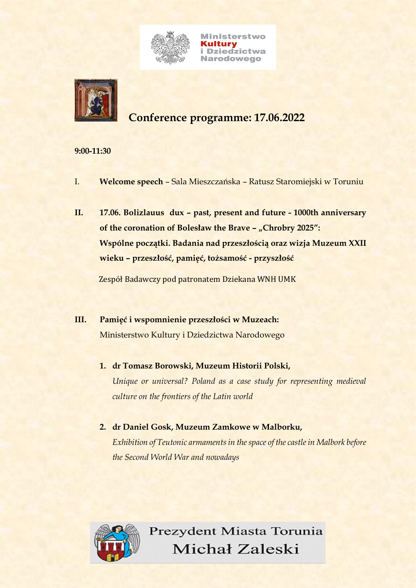

**Ministerstwo Kultury<br>i Dziedzictwa Narodowego** 



### **Conference programme: 17.06.2022**

#### **9:00-11:30**

- I. **Welcome speech** Sala Mieszczańska Ratusz Staromiejski w Toruniu
- **II. 17.06. Bolizlauus dux – past, present and future - 1000th anniversary of the coronation of Bolesław the Brave – "Chrobry 2025": Wspólne początki. Badania nad przeszłością oraz wizja Muzeum XXII wieku – przeszłość, pamięć, tożsamość - przyszłość**

Zespół Badawczy pod patronatem Dziekana WNH UMK

- **III. Pamięć i wspomnienie przeszłości w Muzeach:**  Ministerstwo Kultury i Dziedzictwa Narodowego
	- **1. dr Tomasz Borowski, Muzeum Historii Polski,**  *Unique or universal? Poland as a case study for representing medieval culture on the frontiers of the Latin world*
	- **2. dr Daniel Gosk, Muzeum Zamkowe w Malborku,** *Exhibition of Teutonic armaments in the space of the castle in Malbork before the Second World War and nowadays*

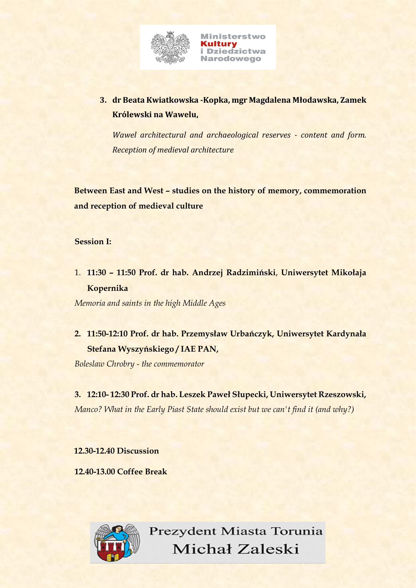

**3. dr Beata Kwiatkowska -Kopka, mgr Magdalena Młodawska, Zamek Królewski na Wawelu,**

*Wawel architectural and archaeological reserves - content and form. Reception of medieval architecture*

**Between East and West – studies on the history of memory, commemoration and reception of medieval culture** 

#### **Session I:**

1. **11:30 – 11:50 Prof. dr hab. Andrzej Radzimiński**, **Uniwersytet Mikołaja Kopernika**

*Memoria and saints in the high Middle Ages*

**2. 11:50-12:10 Prof. dr hab. Przemysław Urbańczyk, Uniwersytet Kardynała Stefana Wyszyńskiego / IAE PAN,**

*Boleslaw Chrobry - the commemorator*

**3. 12:10- 12:30 Prof. dr hab. Leszek Paweł Słupecki, Uniwersytet Rzeszowski,**  *Manco? What in the Early Piast State should exist but we can't find it (and why?)*

**12.30-12.40 Discussion** 

**12.40-13.00 Coffee Break**

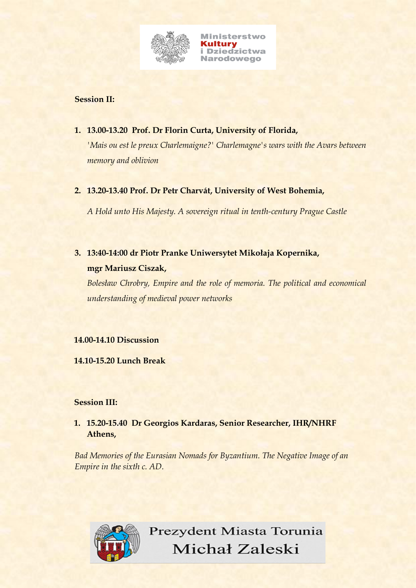

#### **Session II:**

**1. 13.00-13.20 Prof. Dr Florin Curta, University of Florida,** 

*'Mais ou est le preux Charlemaigne?' Charlemagne's wars with the Avars between memory and oblivion*

**2. 13.20-13.40 Prof. Dr Petr Charvát, University of West Bohemia,** 

*A Hold unto His Majesty. A sovereign ritual in tenth-century Prague Castle*

**3. 13:40-14:00 dr Piotr Pranke Uniwersytet Mikołaja Kopernika, mgr Mariusz Ciszak,** 

*Bolesław Chrobry, Empire and the role of memoria. The political and economical understanding of medieval power networks*

#### **14.00-14.10 Discussion**

**14.10-15.20 Lunch Break**

#### **Session III:**

**1. 15.20-15.40 Dr Georgios Kardaras, Senior Researcher, IHR/NHRF Athens,**

*Bad Memories of the Eurasian Nomads for Byzantium. The Negative Image of an Empire in the sixth c. AD.*

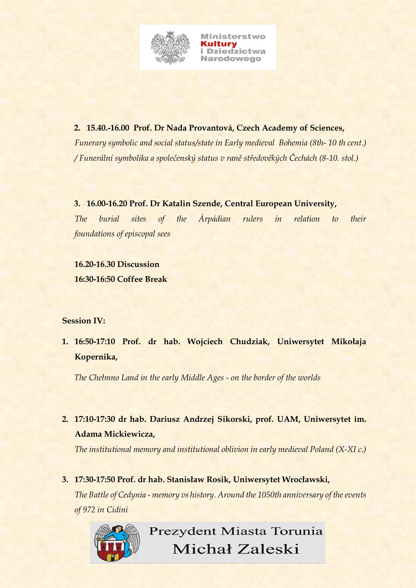

**2. 15.40.-16.00 Prof. Dr Nada Provantová, Czech Academy of Sciences,**  *Funerary symbolic and social status/state in Early medieval Bohemia (8th- 10 th cent.) / Funerální symbolika a společenský status v raně středověkých Čechách (8-10. stol.)*

**3. 16.00-16.20 Prof. Dr Katalin Szende, Central European University,**  *The burial sites of the Árpádian rulers in relation to their foundations of episcopal sees*

**16.20-16.30 Discussion 16:30-16:50 Coffee Break**

#### **Session IV:**

**1. 16:50-17:10 Prof. dr hab. Wojciech Chudziak, Uniwersytet Mikołaja Kopernika,**

*The Chełmno Land in the early Middle Ages - on the border of the worlds*

**2. 17:10-17:30 dr hab. Dariusz Andrzej Sikorski, prof. UAM, Uniwersytet im. Adama Mickiewicza,**

*The institutional memory and institutional oblivion in early medieval Poland (X-XI c.)*

**3. 17:30-17:50 Prof. dr hab. Stanisław Rosik, Uniwersytet Wrocławski,** *The Battle of Cedynia - memory vs history. Around the 1050th anniversary of the events of 972 in Cidini*

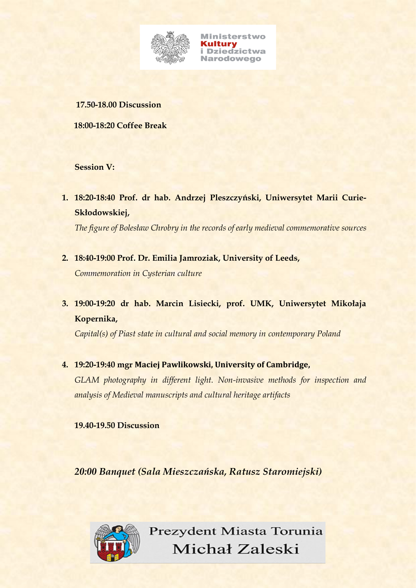

**Ministerstwo Kultury<br>i Dziedzictwa Narodowego** 

#### **17.50-18.00 Discussion**

**18:00-18:20 Coffee Break**

#### **Session V:**

**1. 18:20-18:40 Prof. dr hab. Andrzej Pleszczyński, Uniwersytet Marii Curie-Skłodowskiej,**

*The figure of Bolesław Chrobry in the records of early medieval commemorative sources*

- **2. 18:40-19:00 Prof. Dr. Emilia Jamroziak, University of Leeds,** *Commemoration in Cysterian culture*
- **3. 19:00-19:20 dr hab. Marcin Lisiecki, prof. UMK, Uniwersytet Mikołaja Kopernika,**

*Capital(s) of Piast state in cultural and social memory in contemporary Poland*

**4. 19:20-19:40 mgr Maciej Pawlikowski, University of Cambridge,** 

*GLAM photography in different light. Non-invasive methods for inspection and analysis of Medieval manuscripts and cultural heritage artifacts*

**19.40-19.50 Discussion**

*20:00 Banquet (Sala Mieszczańska, Ratusz Staromiejski)*

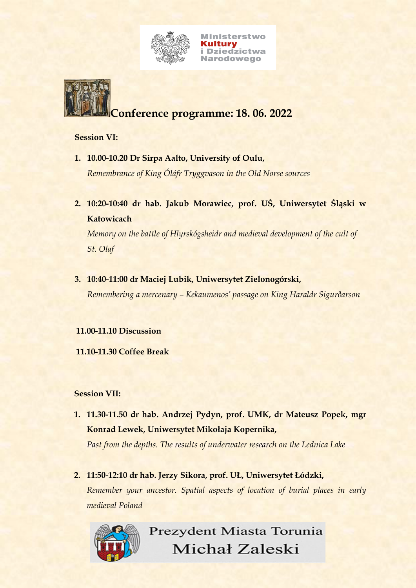

**Ministerstwo Kultury<br>i Dziedzictwa Narodowego** 

# **Conference programme: 18. 06. 2022**

#### **Session VI:**

- **1. 10.00-10.20 Dr Sirpa Aalto, University of Oulu,**  *Remembrance of King Óláfr Tryggvason in the Old Norse sources*
- **2. 10:20-10:40 dr hab. Jakub Morawiec, prof. UŚ, Uniwersytet Śląski w Katowicach**

*Memory on the battle of Hlyrskógsheidr and medieval development of the cult of St. Olaf*

**3. 10:40-11:00 dr Maciej Lubik, Uniwersytet Zielonogórski,** 

*Remembering a mercenary – Kekaumenos' passage on King Haraldr Sigurðarson*

#### **11.00-11.10 Discussion**

 **11.10-11.30 Coffee Break**

#### **Session VII:**

**1. 11.30-11.50 dr hab. Andrzej Pydyn, prof. UMK, dr Mateusz Popek, mgr Konrad Lewek, Uniwersytet Mikołaja Kopernika,**

*Past from the depths. The results of underwater research on the Lednica Lake*

**2. 11:50-12:10 dr hab. Jerzy Sikora, prof. UŁ, Uniwersytet Łódzki,** *Remember your ancestor. Spatial aspects of location of burial places in early medieval Poland*

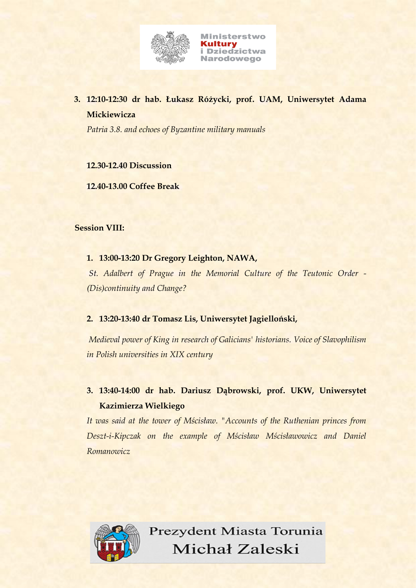

#### **3. 12:10-12:30 dr hab. Łukasz Różycki, prof. UAM, Uniwersytet Adama Mickiewicza**

*Patria 3.8. and echoes of Byzantine military manuals*

#### **12.30-12.40 Discussion**

**12.40-13.00 Coffee Break**

#### **Session VIII:**

#### **1. 13:00-13:20 Dr Gregory Leighton, NAWA,**

*St. Adalbert of Prague in the Memorial Culture of the Teutonic Order - (Dis)continuity and Change?*

#### **2. 13:20-13:40 dr Tomasz Lis, Uniwersytet Jagielloński,**

*Medieval power of King in research of Galicians' historians. Voice of Slavophilism in Polish universities in XIX century*

#### **3. 13:40-14:00 dr hab. Dariusz Dąbrowski, prof. UKW, Uniwersytet Kazimierza Wielkiego**

*It was said at the tower of Mścisław. "Accounts of the Ruthenian princes from Deszt-i-Kipczak on the example of Mścisław Mścisławowicz and Daniel Romanowicz*